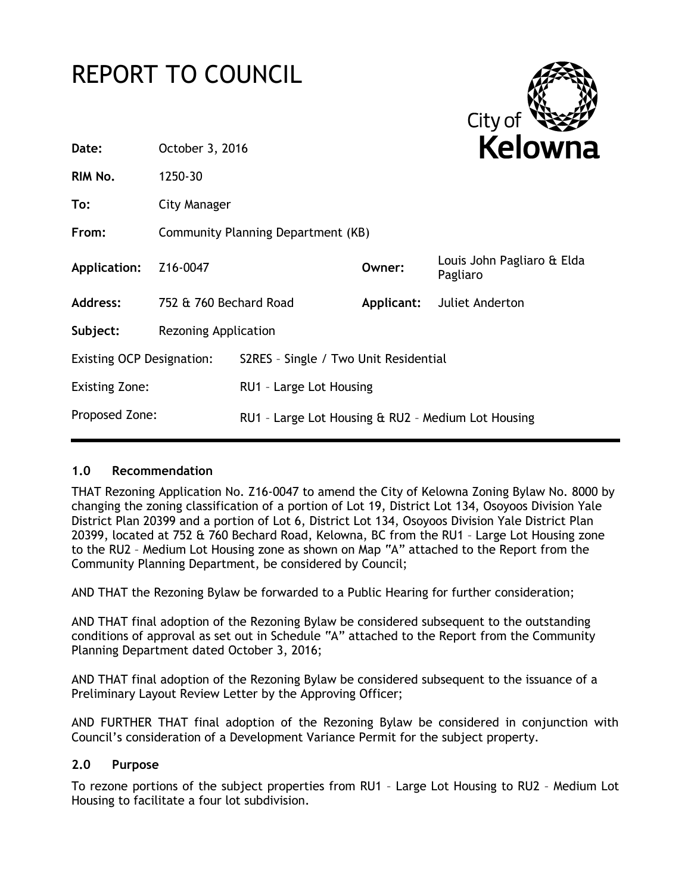# REPORT TO COUNCIL



| Date:                            | October 3, 2016                    |                                                    |            | <b>Kelown</b>                          |
|----------------------------------|------------------------------------|----------------------------------------------------|------------|----------------------------------------|
| RIM No.                          | 1250-30                            |                                                    |            |                                        |
| To:                              | City Manager                       |                                                    |            |                                        |
| From:                            | Community Planning Department (KB) |                                                    |            |                                        |
| <b>Application:</b>              | Z16-0047                           |                                                    | Owner:     | Louis John Pagliaro & Elda<br>Pagliaro |
| <b>Address:</b>                  | 752 & 760 Bechard Road             |                                                    | Applicant: | Juliet Anderton                        |
| Subject:                         | <b>Rezoning Application</b>        |                                                    |            |                                        |
| <b>Existing OCP Designation:</b> |                                    | S2RES - Single / Two Unit Residential              |            |                                        |
| <b>Existing Zone:</b>            |                                    | RU1 - Large Lot Housing                            |            |                                        |
| Proposed Zone:                   |                                    | RU1 - Large Lot Housing & RU2 - Medium Lot Housing |            |                                        |
|                                  |                                    |                                                    |            |                                        |

# **1.0 Recommendation**

THAT Rezoning Application No. Z16-0047 to amend the City of Kelowna Zoning Bylaw No. 8000 by changing the zoning classification of a portion of Lot 19, District Lot 134, Osoyoos Division Yale District Plan 20399 and a portion of Lot 6, District Lot 134, Osoyoos Division Yale District Plan 20399, located at 752 & 760 Bechard Road, Kelowna, BC from the RU1 – Large Lot Housing zone to the RU2 – Medium Lot Housing zone as shown on Map "A" attached to the Report from the Community Planning Department, be considered by Council;

AND THAT the Rezoning Bylaw be forwarded to a Public Hearing for further consideration;

AND THAT final adoption of the Rezoning Bylaw be considered subsequent to the outstanding conditions of approval as set out in Schedule "A" attached to the Report from the Community Planning Department dated October 3, 2016;

AND THAT final adoption of the Rezoning Bylaw be considered subsequent to the issuance of a Preliminary Layout Review Letter by the Approving Officer;

AND FURTHER THAT final adoption of the Rezoning Bylaw be considered in conjunction with Council's consideration of a Development Variance Permit for the subject property.

# **2.0 Purpose**

To rezone portions of the subject properties from RU1 – Large Lot Housing to RU2 – Medium Lot Housing to facilitate a four lot subdivision.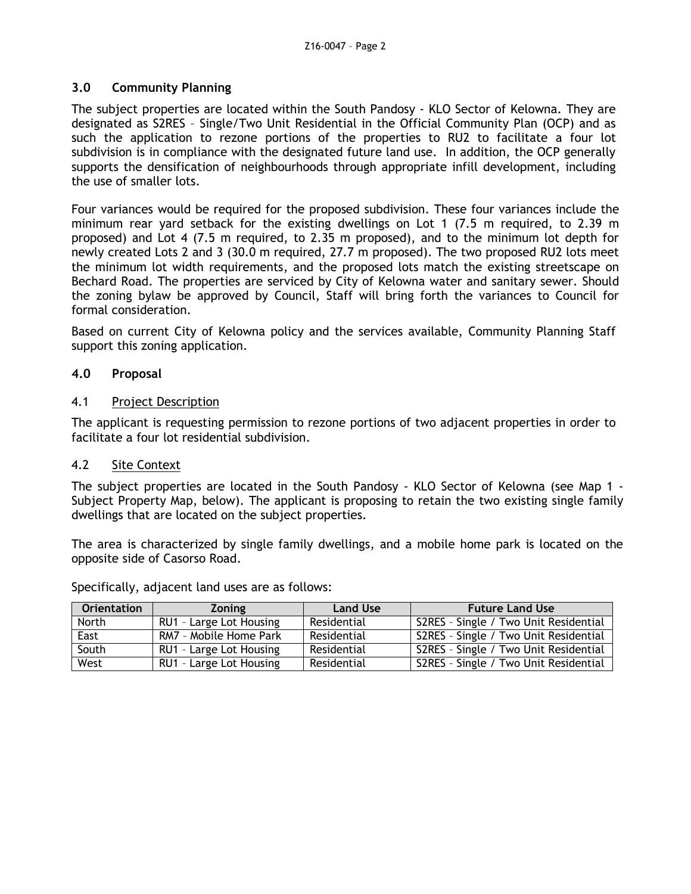## **3.0 Community Planning**

The subject properties are located within the South Pandosy - KLO Sector of Kelowna. They are designated as S2RES – Single/Two Unit Residential in the Official Community Plan (OCP) and as such the application to rezone portions of the properties to RU2 to facilitate a four lot subdivision is in compliance with the designated future land use. In addition, the OCP generally supports the densification of neighbourhoods through appropriate infill development, including the use of smaller lots.

Four variances would be required for the proposed subdivision. These four variances include the minimum rear yard setback for the existing dwellings on Lot 1 (7.5 m required, to 2.39 m proposed) and Lot 4 (7.5 m required, to 2.35 m proposed), and to the minimum lot depth for newly created Lots 2 and 3 (30.0 m required, 27.7 m proposed). The two proposed RU2 lots meet the minimum lot width requirements, and the proposed lots match the existing streetscape on Bechard Road. The properties are serviced by City of Kelowna water and sanitary sewer. Should the zoning bylaw be approved by Council, Staff will bring forth the variances to Council for formal consideration.

Based on current City of Kelowna policy and the services available, Community Planning Staff support this zoning application.

## **4.0 Proposal**

## 4.1 Project Description

The applicant is requesting permission to rezone portions of two adjacent properties in order to facilitate a four lot residential subdivision.

## 4.2 Site Context

The subject properties are located in the South Pandosy - KLO Sector of Kelowna (see Map 1 - Subject Property Map, below). The applicant is proposing to retain the two existing single family dwellings that are located on the subject properties.

The area is characterized by single family dwellings, and a mobile home park is located on the opposite side of Casorso Road.

Specifically, adjacent land uses are as follows:

| <b>Orientation</b> | <b>Zoning</b>           | <b>Land Use</b> | <b>Future Land Use</b>                |
|--------------------|-------------------------|-----------------|---------------------------------------|
| North              | RU1 - Large Lot Housing | Residential     | S2RES - Single / Two Unit Residential |
| East               | RM7 - Mobile Home Park  | Residential     | S2RES - Single / Two Unit Residential |
| South              | RU1 - Large Lot Housing | Residential     | S2RES - Single / Two Unit Residential |
| West               | RU1 - Large Lot Housing | Residential     | S2RES - Single / Two Unit Residential |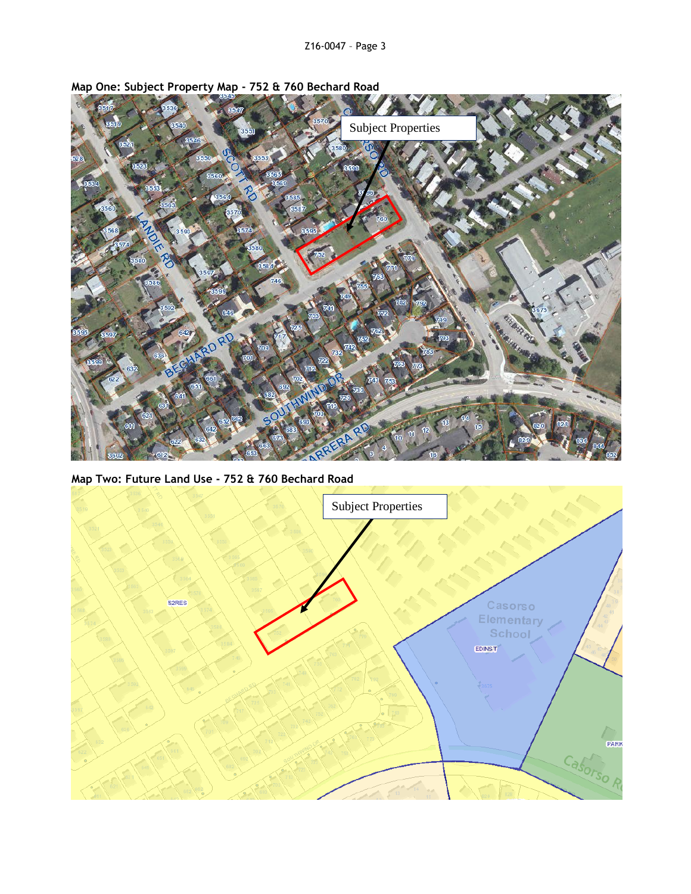

**Map One: Subject Property Map - 752 & 760 Bechard Road**

**Map Two: Future Land Use - 752 & 760 Bechard Road**

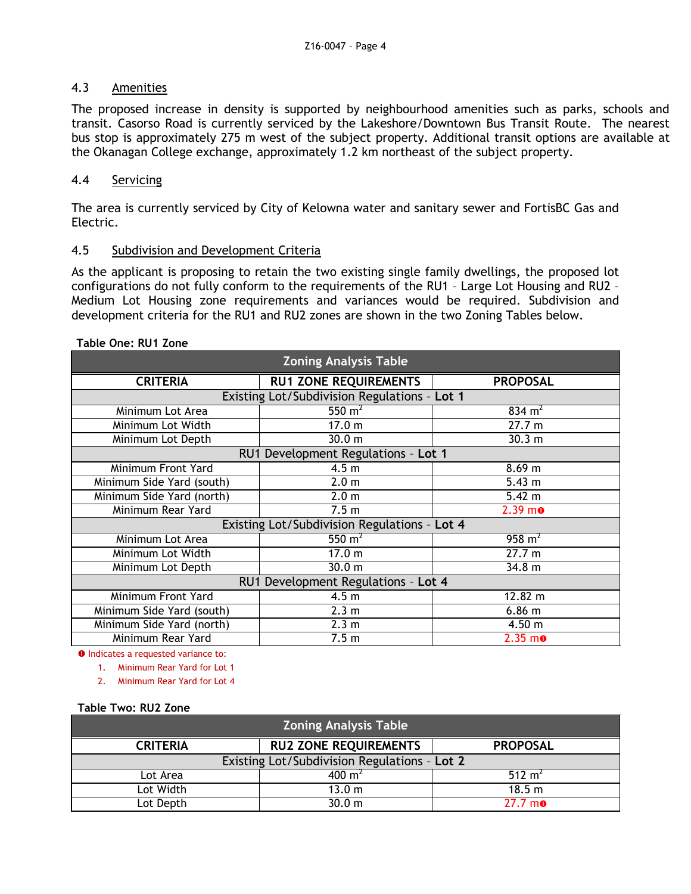## 4.3 Amenities

The proposed increase in density is supported by neighbourhood amenities such as parks, schools and transit. Casorso Road is currently serviced by the Lakeshore/Downtown Bus Transit Route. The nearest bus stop is approximately 275 m west of the subject property. Additional transit options are available at the Okanagan College exchange, approximately 1.2 km northeast of the subject property.

# 4.4 Servicing

The area is currently serviced by City of Kelowna water and sanitary sewer and FortisBC Gas and Electric.

# 4.5 Subdivision and Development Criteria

As the applicant is proposing to retain the two existing single family dwellings, the proposed lot configurations do not fully conform to the requirements of the RU1 – Large Lot Housing and RU2 – Medium Lot Housing zone requirements and variances would be required. Subdivision and development criteria for the RU1 and RU2 zones are shown in the two Zoning Tables below.

#### **Table One: RU1 Zone**

| <b>Zoning Analysis Table</b>                 |                                              |                       |  |
|----------------------------------------------|----------------------------------------------|-----------------------|--|
| <b>CRITERIA</b>                              | <b>RU1 ZONE REQUIREMENTS</b>                 | <b>PROPOSAL</b>       |  |
|                                              | Existing Lot/Subdivision Regulations - Lot 1 |                       |  |
| Minimum Lot Area                             | 550 $m2$                                     | 834 $m2$              |  |
| Minimum Lot Width                            | 17.0 m                                       | 27.7 m                |  |
| Minimum Lot Depth                            | 30.0 m                                       | 30.3 m                |  |
| RU1 Development Regulations - Lot 1          |                                              |                       |  |
| Minimum Front Yard                           | 4.5 <sub>m</sub>                             | 8.69 m                |  |
| Minimum Side Yard (south)                    | 2.0 <sub>m</sub>                             | 5.43 m                |  |
| Minimum Side Yard (north)                    | 2.0 <sub>m</sub>                             | $5.42 \text{ m}$      |  |
| Minimum Rear Yard                            | 7.5 <sub>m</sub>                             | $2.39 m$ <sup>o</sup> |  |
| Existing Lot/Subdivision Regulations - Lot 4 |                                              |                       |  |
| Minimum Lot Area                             | 550 $m2$                                     | 958 $m2$              |  |
| Minimum Lot Width                            | 17.0 m                                       | 27.7 m                |  |
| Minimum Lot Depth                            | 30.0 <sub>m</sub>                            | 34.8 m                |  |
| RU1 Development Regulations - Lot 4          |                                              |                       |  |
| Minimum Front Yard                           | 4.5 <sub>m</sub>                             | 12.82 m               |  |
| Minimum Side Yard (south)                    | 2.3 <sub>m</sub>                             | $6.86$ m              |  |
| Minimum Side Yard (north)                    | 2.3 <sub>m</sub>                             | 4.50 m                |  |
| Minimum Rear Yard                            | 7.5 <sub>m</sub>                             | $2.35 \text{ m}$      |  |

**O** Indicates a requested variance to:

1. Minimum Rear Yard for Lot 1

2. Minimum Rear Yard for Lot 4

**Table Two: RU2 Zone**

| <b>Zoning Analysis Table</b>                 |                              |                    |  |
|----------------------------------------------|------------------------------|--------------------|--|
| <b>CRITERIA</b>                              | <b>RU2 ZONE REQUIREMENTS</b> | <b>PROPOSAL</b>    |  |
| Existing Lot/Subdivision Regulations - Lot 2 |                              |                    |  |
| Lot Area                                     | $400 \text{ m}^2$            | 512 m <sup>2</sup> |  |
| Lot Width                                    | 13.0 m                       | 18.5 m             |  |
| Lot Depth                                    | 30.0 m                       | $27.7 \text{ m}$   |  |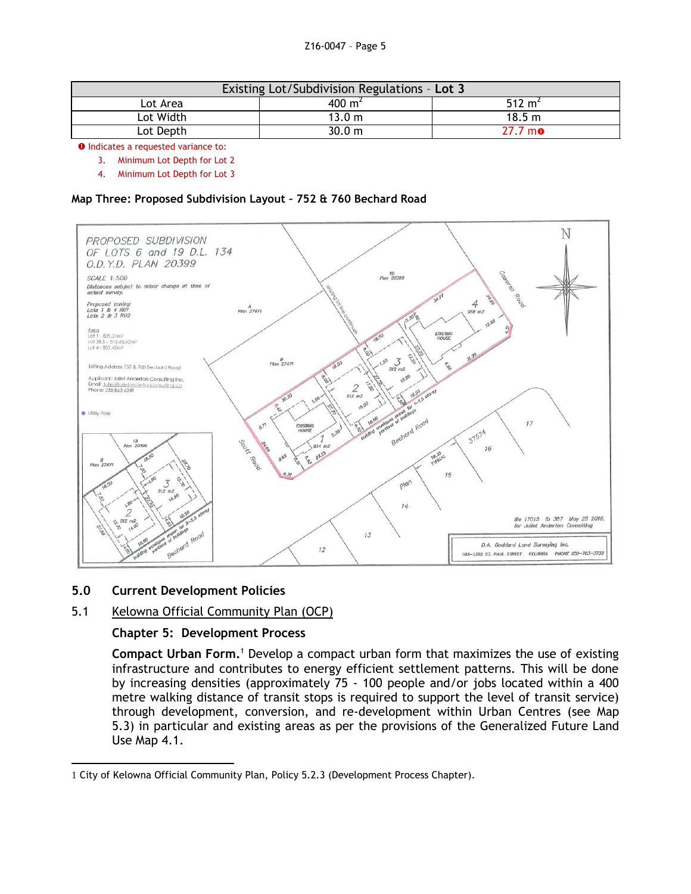| Existing Lot/Subdivision Regulations - Lot 3 |                    |                    |
|----------------------------------------------|--------------------|--------------------|
| Lot Area                                     | 400 m <sup>2</sup> | 512 m <sup>2</sup> |
| Lot Width                                    | 13.0 m             | 18.5 m             |
| Lot Depth                                    | 30.0 m             | $27.7 \text{ m}$ o |

**O** Indicates a requested variance to:

3. Minimum Lot Depth for Lot 2

4. Minimum Lot Depth for Lot 3

#### **Map Three: Proposed Subdivision Layout – 752 & 760 Bechard Road**



#### **5.0 Current Development Policies**

# 5.1 Kelowna Official Community Plan (OCP)

#### **Chapter 5: Development Process**

**Compact Urban Form.**<sup>1</sup> Develop a compact urban form that maximizes the use of existing infrastructure and contributes to energy efficient settlement patterns. This will be done by increasing densities (approximately 75 - 100 people and/or jobs located within a 400 metre walking distance of transit stops is required to support the level of transit service) through development, conversion, and re-development within Urban Centres (see Map 5.3) in particular and existing areas as per the provisions of the Generalized Future Land Use Map 4.1.

<sup>-</sup>1 City of Kelowna Official Community Plan, Policy 5.2.3 (Development Process Chapter).